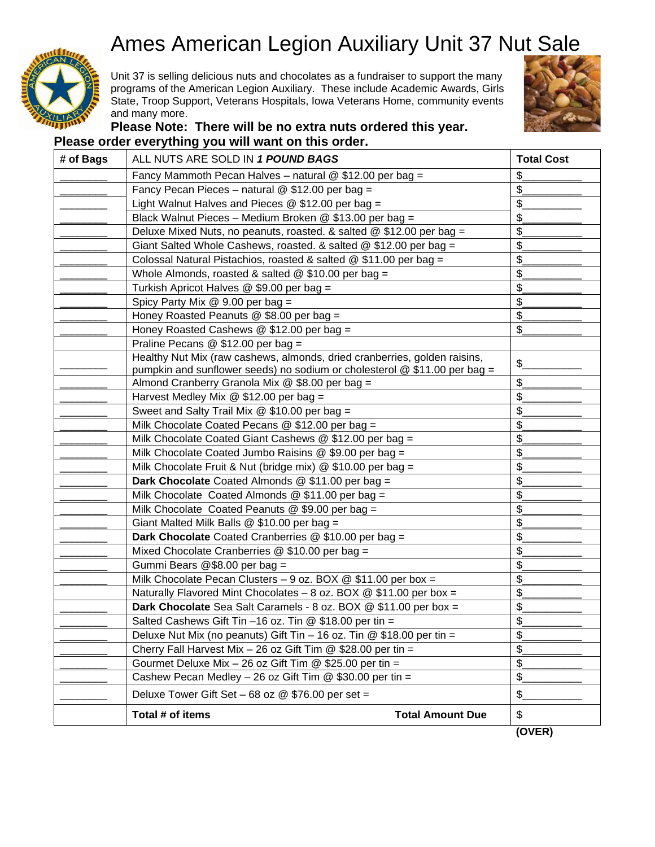## Ames American Legion Auxiliary Unit 37 Nut Sale



Unit 37 is selling delicious nuts and chocolates as a fundraiser to support the many programs of the American Legion Auxiliary. These include Academic Awards, Girls State, Troop Support, Veterans Hospitals, Iowa Veterans Home, community events and many more.



## **Please Note: There will be no extra nuts ordered this year. Please order everything you will want on this order.**

| # of Bags | ALL NUTS ARE SOLD IN 1 POUND BAGS                                                                                                                        | <b>Total Cost</b> |
|-----------|----------------------------------------------------------------------------------------------------------------------------------------------------------|-------------------|
|           | Fancy Mammoth Pecan Halves - natural @ \$12.00 per bag =                                                                                                 | \$                |
|           | Fancy Pecan Pieces - natural @ \$12.00 per bag =                                                                                                         | \$                |
|           | Light Walnut Halves and Pieces $@$ \$12.00 per bag =                                                                                                     | \$                |
|           | Black Walnut Pieces - Medium Broken @ \$13.00 per bag =                                                                                                  |                   |
|           | Deluxe Mixed Nuts, no peanuts, roasted. & salted @ \$12.00 per bag =                                                                                     | \$                |
|           | Giant Salted Whole Cashews, roasted. & salted $@$ \$12.00 per bag =                                                                                      | \$                |
|           | Colossal Natural Pistachios, roasted & salted @ \$11.00 per bag =                                                                                        | \$                |
|           | Whole Almonds, roasted & salted $@$ \$10.00 per bag =                                                                                                    | \$                |
|           | Turkish Apricot Halves @ \$9.00 per bag =                                                                                                                | \$                |
|           | Spicy Party Mix $@$ 9.00 per bag =                                                                                                                       | \$                |
|           | Honey Roasted Peanuts $@$ \$8.00 per bag =                                                                                                               | \$                |
|           | Honey Roasted Cashews $@$ \$12.00 per bag =                                                                                                              | \$                |
|           | Praline Pecans @ \$12.00 per bag =                                                                                                                       |                   |
|           | Healthy Nut Mix (raw cashews, almonds, dried cranberries, golden raisins,<br>pumpkin and sunflower seeds) no sodium or cholesterol $@$ \$11.00 per bag = | \$                |
|           | Almond Cranberry Granola Mix @ \$8.00 per bag =                                                                                                          | \$                |
|           | Harvest Medley Mix $@$ \$12.00 per bag =                                                                                                                 | \$                |
|           | Sweet and Salty Trail Mix @ \$10.00 per bag =                                                                                                            | \$                |
|           | Milk Chocolate Coated Pecans $@$ \$12.00 per bag =                                                                                                       | \$                |
|           | Milk Chocolate Coated Giant Cashews @ \$12.00 per bag =                                                                                                  | \$                |
|           | Milk Chocolate Coated Jumbo Raisins @ \$9.00 per bag =                                                                                                   | \$                |
|           | Milk Chocolate Fruit & Nut (bridge mix) @ \$10.00 per bag =                                                                                              | \$                |
|           | Dark Chocolate Coated Almonds @ \$11.00 per bag =                                                                                                        | \$                |
|           | Milk Chocolate Coated Almonds @ \$11.00 per bag =                                                                                                        | \$                |
|           | Milk Chocolate Coated Peanuts $@$ \$9.00 per bag =                                                                                                       | \$                |
|           | Giant Malted Milk Balls @ \$10.00 per bag =                                                                                                              | \$                |
|           | Dark Chocolate Coated Cranberries @ \$10.00 per bag =                                                                                                    | \$                |
|           | Mixed Chocolate Cranberries @ \$10.00 per bag =                                                                                                          | \$                |
|           | Gummi Bears @\$8.00 per bag =                                                                                                                            | \$                |
|           | Milk Chocolate Pecan Clusters - 9 oz. BOX $@$ \$11.00 per box =                                                                                          | \$                |
|           | Naturally Flavored Mint Chocolates - 8 oz. BOX $@$ \$11.00 per box =                                                                                     | \$                |
|           | Dark Chocolate Sea Salt Caramels - 8 oz. BOX @ \$11.00 per box =                                                                                         | $\frac{1}{2}$     |
|           | Salted Cashews Gift Tin -16 oz. Tin @ \$18.00 per tin =                                                                                                  | \$                |
|           | Deluxe Nut Mix (no peanuts) Gift Tin - 16 oz. Tin @ \$18.00 per tin =                                                                                    | \$                |
|           | Cherry Fall Harvest Mix - 26 oz Gift Tim $@$ \$28.00 per tin =                                                                                           | $\frac{1}{2}$     |
|           | Gourmet Deluxe Mix - 26 oz Gift Tim @ \$25.00 per tin =                                                                                                  | \$                |
|           | Cashew Pecan Medley - 26 oz Gift Tim $@$ \$30.00 per tin =                                                                                               | \$                |
|           | Deluxe Tower Gift Set $-68$ oz $@$ \$76.00 per set =                                                                                                     | \$                |
|           | Total # of items<br><b>Total Amount Due</b>                                                                                                              | \$                |
|           |                                                                                                                                                          | (OVER)            |